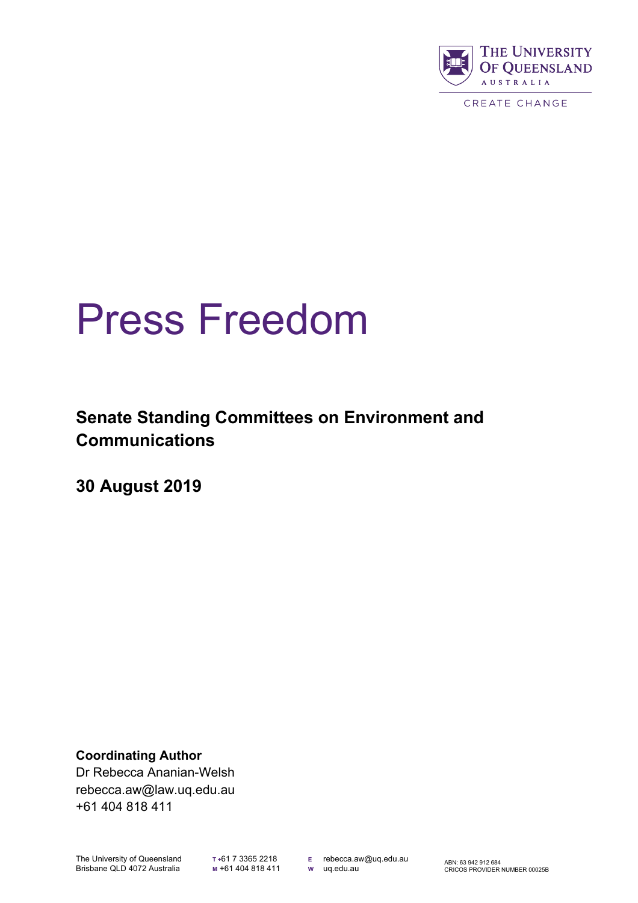

# Press Freedom

**Senate Standing Committees on Environment and Communications**

**30 August 2019**

**Coordinating Author** Dr Rebecca Ananian-Welsh rebecca.aw@law.uq.edu.au +61 404 818 411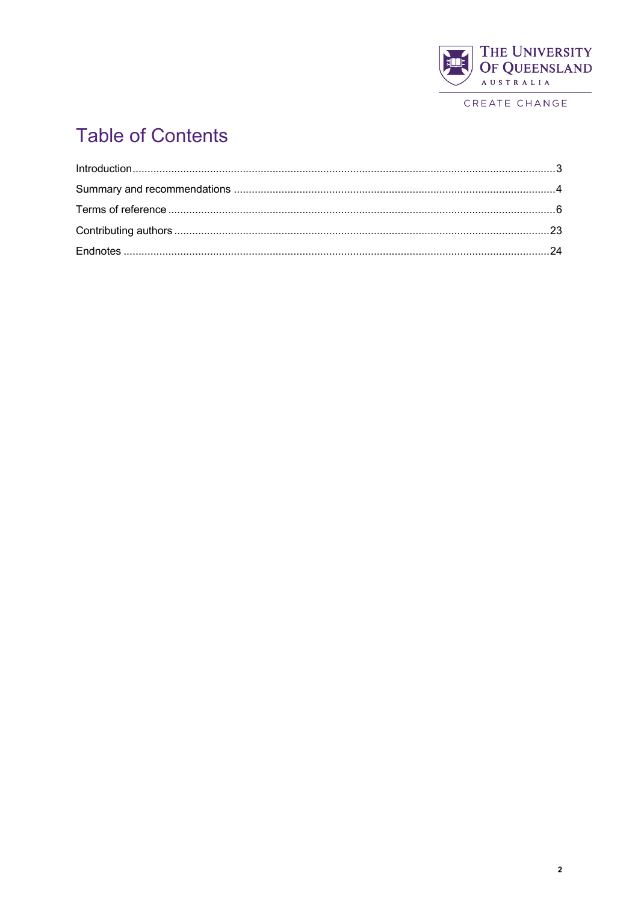

# **Table of Contents**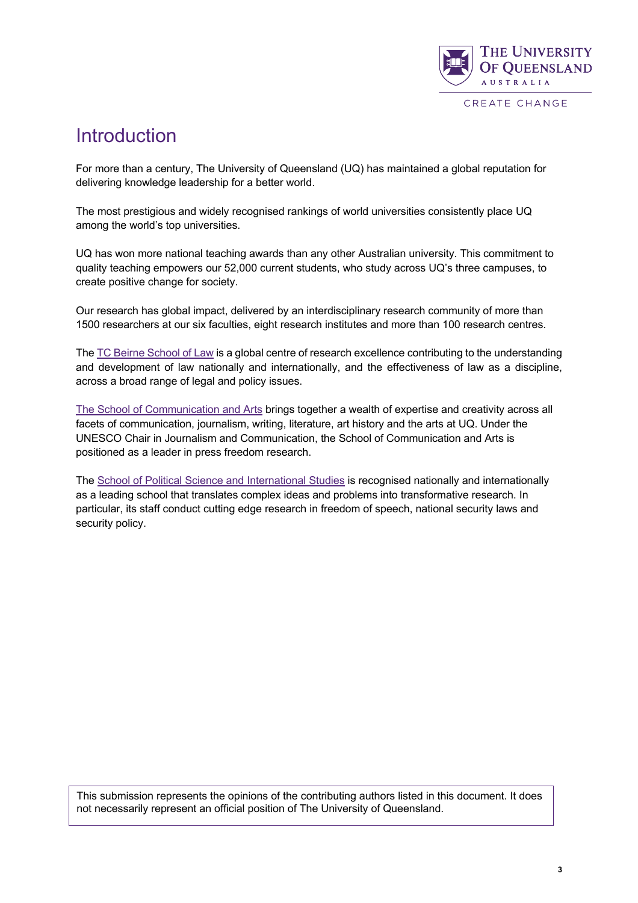

### Introduction

For more than a century, The University of Queensland (UQ) has maintained a global reputation for delivering knowledge leadership for a better world.

The most prestigious and widely recognised rankings of world universities consistently place UQ among the world's top universities.

UQ has won more national teaching awards than any other Australian university. This commitment to quality teaching empowers our 52,000 current students, who study across UQ's three campuses, to create positive change for society.

Our research has global impact, delivered by an interdisciplinary research community of more than 1500 researchers at our six faculties, eight research institutes and more than 100 research centres.

The TC Beirne School of Law is a global centre of research excellence contributing to the understanding and development of law nationally and internationally, and the effectiveness of law as a discipline, across a broad range of legal and policy issues.

The School of Communication and Arts brings together a wealth of expertise and creativity across all facets of communication, journalism, writing, literature, art history and the arts at UQ. Under the UNESCO Chair in Journalism and Communication, the School of Communication and Arts is positioned as a leader in press freedom research.

The School of Political Science and International Studies is recognised nationally and internationally as a leading school that translates complex ideas and problems into transformative research. In particular, its staff conduct cutting edge research in freedom of speech, national security laws and security policy.

This submission represents the opinions of the contributing authors listed in this document. It does not necessarily represent an official position of The University of Queensland.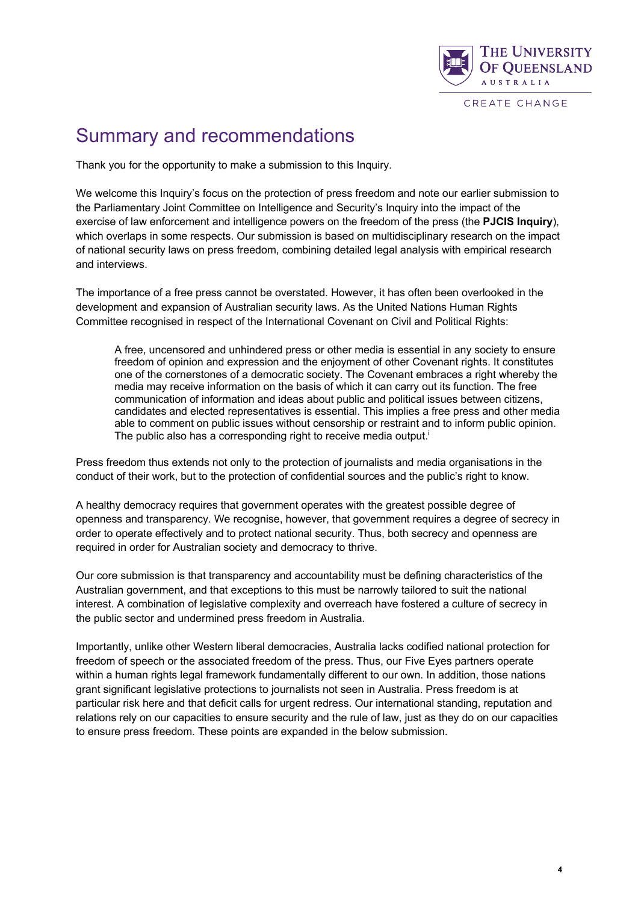

### Summary and recommendations

Thank you for the opportunity to make a submission to this Inquiry.

We welcome this Inquiry's focus on the protection of press freedom and note our earlier submission to the Parliamentary Joint Committee on Intelligence and Security's Inquiry into the impact of the exercise of law enforcement and intelligence powers on the freedom of the press (the **PJCIS Inquiry**), which overlaps in some respects. Our submission is based on multidisciplinary research on the impact of national security laws on press freedom, combining detailed legal analysis with empirical research and interviews.

The importance of a free press cannot be overstated. However, it has often been overlooked in the development and expansion of Australian security laws. As the United Nations Human Rights Committee recognised in respect of the International Covenant on Civil and Political Rights:

A free, uncensored and unhindered press or other media is essential in any society to ensure freedom of opinion and expression and the enjoyment of other Covenant rights. It constitutes one of the cornerstones of a democratic society. The Covenant embraces a right whereby the media may receive information on the basis of which it can carry out its function. The free communication of information and ideas about public and political issues between citizens, candidates and elected representatives is essential. This implies a free press and other media able to comment on public issues without censorship or restraint and to inform public opinion. The public also has a corresponding right to receive media output.<sup>i</sup>

Press freedom thus extends not only to the protection of journalists and media organisations in the conduct of their work, but to the protection of confidential sources and the public's right to know.

A healthy democracy requires that government operates with the greatest possible degree of openness and transparency. We recognise, however, that government requires a degree of secrecy in order to operate effectively and to protect national security. Thus, both secrecy and openness are required in order for Australian society and democracy to thrive.

Our core submission is that transparency and accountability must be defining characteristics of the Australian government, and that exceptions to this must be narrowly tailored to suit the national interest. A combination of legislative complexity and overreach have fostered a culture of secrecy in the public sector and undermined press freedom in Australia.

Importantly, unlike other Western liberal democracies, Australia lacks codified national protection for freedom of speech or the associated freedom of the press. Thus, our Five Eyes partners operate within a human rights legal framework fundamentally different to our own. In addition, those nations grant significant legislative protections to journalists not seen in Australia. Press freedom is at particular risk here and that deficit calls for urgent redress. Our international standing, reputation and relations rely on our capacities to ensure security and the rule of law, just as they do on our capacities to ensure press freedom. These points are expanded in the below submission.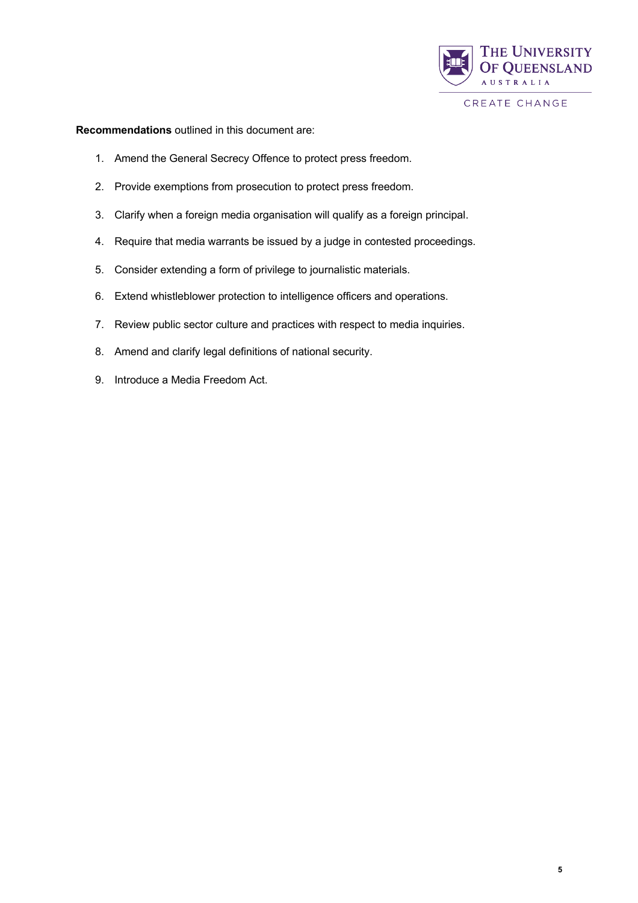

**Recommendations** outlined in this document are:

- 1. Amend the General Secrecy Offence to protect press freedom.
- 2. Provide exemptions from prosecution to protect press freedom.
- 3. Clarify when a foreign media organisation will qualify as a foreign principal.
- 4. Require that media warrants be issued by a judge in contested proceedings.
- 5. Consider extending a form of privilege to journalistic materials.
- 6. Extend whistleblower protection to intelligence officers and operations.
- 7. Review public sector culture and practices with respect to media inquiries.
- 8. Amend and clarify legal definitions of national security.
- 9. Introduce a Media Freedom Act.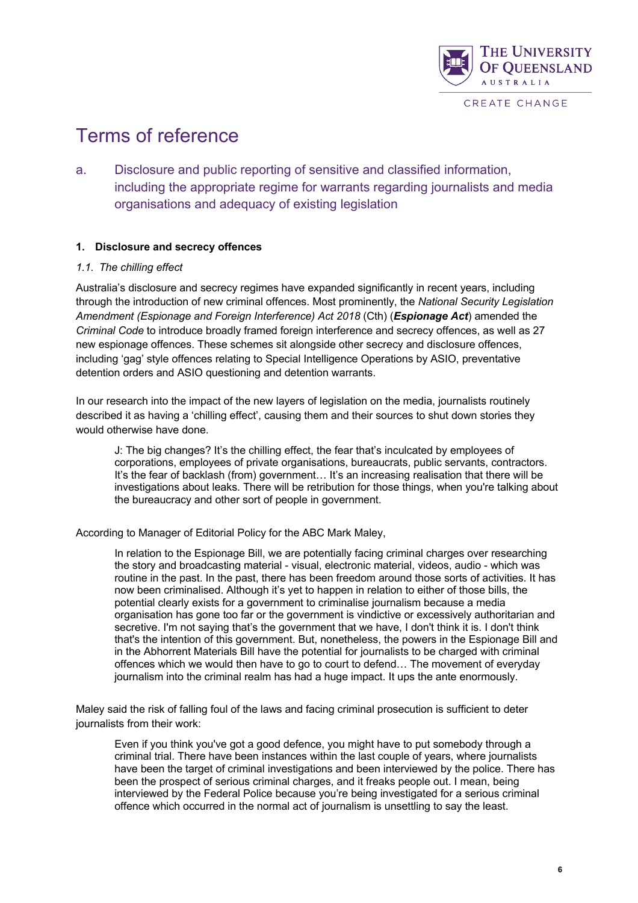

# Terms of reference

a. Disclosure and public reporting of sensitive and classified information, including the appropriate regime for warrants regarding journalists and media organisations and adequacy of existing legislation

#### **1. Disclosure and secrecy offences**

#### *1.1. The chilling effect*

Australia's disclosure and secrecy regimes have expanded significantly in recent years, including through the introduction of new criminal offences. Most prominently, the *National Security Legislation Amendment (Espionage and Foreign Interference) Act 2018* (Cth) (*Espionage Act*) amended the *Criminal Code* to introduce broadly framed foreign interference and secrecy offences, as well as 27 new espionage offences. These schemes sit alongside other secrecy and disclosure offences, including 'gag' style offences relating to Special Intelligence Operations by ASIO, preventative detention orders and ASIO questioning and detention warrants.

In our research into the impact of the new layers of legislation on the media, journalists routinely described it as having a 'chilling effect', causing them and their sources to shut down stories they would otherwise have done.

J: The big changes? It's the chilling effect, the fear that's inculcated by employees of corporations, employees of private organisations, bureaucrats, public servants, contractors. It's the fear of backlash (from) government... It's an increasing realisation that there will be investigations about leaks. There will be retribution for those things, when you're talking about the bureaucracy and other sort of people in government.

According to Manager of Editorial Policy for the ABC Mark Maley,

In relation to the Espionage Bill, we are potentially facing criminal charges over researching the story and broadcasting material - visual, electronic material, videos, audio - which was routine in the past. In the past, there has been freedom around those sorts of activities. It has now been criminalised. Although it's yet to happen in relation to either of those bills, the potential clearly exists for a government to criminalise journalism because a media organisation has gone too far or the government is vindictive or excessively authoritarian and secretive. I'm not saying that's the government that we have, I don't think it is. I don't think that's the intention of this government. But, nonetheless, the powers in the Espionage Bill and in the Abhorrent Materials Bill have the potential for journalists to be charged with criminal offences which we would then have to go to court to defend… The movement of everyday journalism into the criminal realm has had a huge impact. It ups the ante enormously.

Maley said the risk of falling foul of the laws and facing criminal prosecution is sufficient to deter journalists from their work:

Even if you think you've got a good defence, you might have to put somebody through a criminal trial. There have been instances within the last couple of years, where journalists have been the target of criminal investigations and been interviewed by the police. There has been the prospect of serious criminal charges, and it freaks people out. I mean, being interviewed by the Federal Police because you're being investigated for a serious criminal offence which occurred in the normal act of journalism is unsettling to say the least.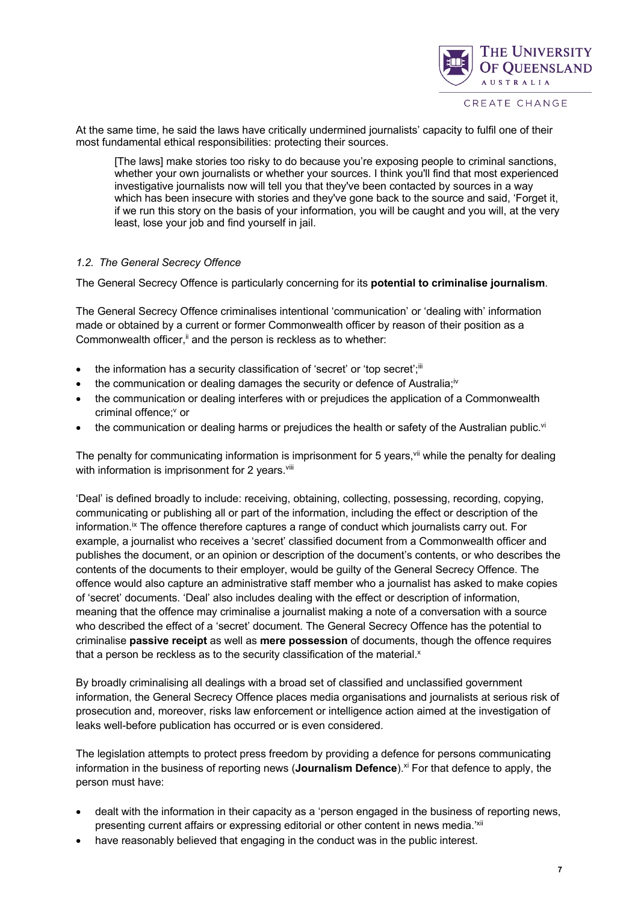

At the same time, he said the laws have critically undermined journalists' capacity to fulfil one of their most fundamental ethical responsibilities: protecting their sources.

[The laws] make stories too risky to do because you're exposing people to criminal sanctions, whether your own journalists or whether your sources. I think you'll find that most experienced investigative journalists now will tell you that they've been contacted by sources in a way which has been insecure with stories and they've gone back to the source and said, 'Forget it, if we run this story on the basis of your information, you will be caught and you will, at the very least, lose your job and find yourself in jail.

#### *1.2. The General Secrecy Offence*

The General Secrecy Offence is particularly concerning for its **potential to criminalise journalism**.

The General Secrecy Offence criminalises intentional 'communication' or 'dealing with' information made or obtained by a current or former Commonwealth officer by reason of their position as a Commonwealth officer, $\ddot{u}$  and the person is reckless as to whether:

- the information has a security classification of 'secret' or 'top secret';<sup>iii</sup>
- the communication or dealing damages the security or defence of Australia;<sup>iv</sup>
- the communication or dealing interferes with or prejudices the application of a Commonwealth criminal offence:<sup>v</sup> or
- the communication or dealing harms or prejudices the health or safety of the Australian public.<sup>vi</sup>

The penalty for communicating information is imprisonment for 5 years,  $\frac{v}{v}$  while the penalty for dealing with information is imprisonment for 2 years.<sup>viii</sup>

'Deal' is defined broadly to include: receiving, obtaining, collecting, possessing, recording, copying, communicating or publishing all or part of the information, including the effect or description of the information.<sup>ix</sup> The offence therefore captures a range of conduct which journalists carry out. For example, a journalist who receives a 'secret' classified document from a Commonwealth officer and publishes the document, or an opinion or description of the document's contents, or who describes the contents of the documents to their employer, would be guilty of the General Secrecy Offence. The offence would also capture an administrative staff member who a journalist has asked to make copies of 'secret' documents. 'Deal' also includes dealing with the effect or description of information, meaning that the offence may criminalise a journalist making a note of a conversation with a source who described the effect of a 'secret' document. The General Secrecy Offence has the potential to criminalise **passive receipt** as well as **mere possession** of documents, though the offence requires that a person be reckless as to the security classification of the material.<sup>x</sup>

By broadly criminalising all dealings with a broad set of classified and unclassified government information, the General Secrecy Offence places media organisations and journalists at serious risk of prosecution and, moreover, risks law enforcement or intelligence action aimed at the investigation of leaks well-before publication has occurred or is even considered.

The legislation attempts to protect press freedom by providing a defence for persons communicating information in the business of reporting news (**Journalism Defence**).<sup>xi</sup> For that defence to apply, the person must have:

- dealt with the information in their capacity as a 'person engaged in the business of reporting news, presenting current affairs or expressing editorial or other content in news media.<sup>'xii</sup>
- have reasonably believed that engaging in the conduct was in the public interest.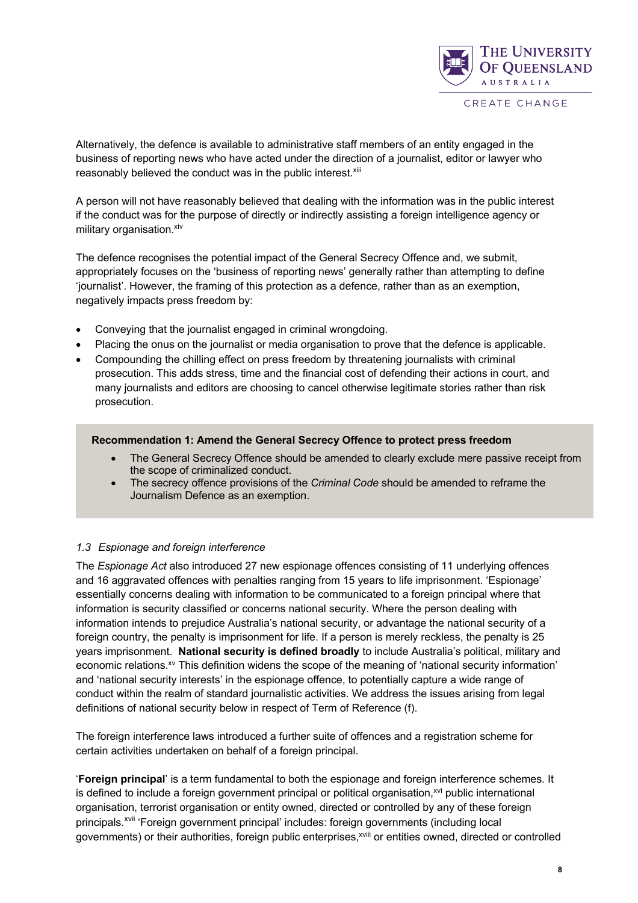

Alternatively, the defence is available to administrative staff members of an entity engaged in the business of reporting news who have acted under the direction of a journalist, editor or lawyer who reasonably believed the conduct was in the public interest.<sup>xiii</sup>

A person will not have reasonably believed that dealing with the information was in the public interest if the conduct was for the purpose of directly or indirectly assisting a foreign intelligence agency or military organisation. xiv

The defence recognises the potential impact of the General Secrecy Offence and, we submit, appropriately focuses on the 'business of reporting news' generally rather than attempting to define 'journalist'. However, the framing of this protection as a defence, rather than as an exemption, negatively impacts press freedom by:

- Conveying that the journalist engaged in criminal wrongdoing.
- Placing the onus on the journalist or media organisation to prove that the defence is applicable.
- Compounding the chilling effect on press freedom by threatening journalists with criminal prosecution. This adds stress, time and the financial cost of defending their actions in court, and many journalists and editors are choosing to cancel otherwise legitimate stories rather than risk prosecution.

#### **Recommendation 1: Amend the General Secrecy Offence to protect press freedom**

- The General Secrecy Offence should be amended to clearly exclude mere passive receipt from the scope of criminalized conduct.
- The secrecy offence provisions of the *Criminal Code* should be amended to reframe the Journalism Defence as an exemption.

#### *1.3 Espionage and foreign interference*

The *Espionage Act* also introduced 27 new espionage offences consisting of 11 underlying offences and 16 aggravated offences with penalties ranging from 15 years to life imprisonment. 'Espionage' essentially concerns dealing with information to be communicated to a foreign principal where that information is security classified or concerns national security. Where the person dealing with information intends to prejudice Australia's national security, or advantage the national security of a foreign country, the penalty is imprisonment for life. If a person is merely reckless, the penalty is 25 years imprisonment. **National security is defined broadly** to include Australia's political, military and economic relations.<sup>xv</sup> This definition widens the scope of the meaning of 'national security information' and 'national security interests' in the espionage offence, to potentially capture a wide range of conduct within the realm of standard journalistic activities. We address the issues arising from legal definitions of national security below in respect of Term of Reference (f).

The foreign interference laws introduced a further suite of offences and a registration scheme for certain activities undertaken on behalf of a foreign principal.

'**Foreign principal**' is a term fundamental to both the espionage and foreign interference schemes. It is defined to include a foreign government principal or political organisation,<sup>xvi</sup> public international organisation, terrorist organisation or entity owned, directed or controlled by any of these foreign principals.<sup>xvii</sup> 'Foreign government principal' includes: foreign governments (including local governments) or their authorities, foreign public enterprises,<sup>xviii</sup> or entities owned, directed or controlled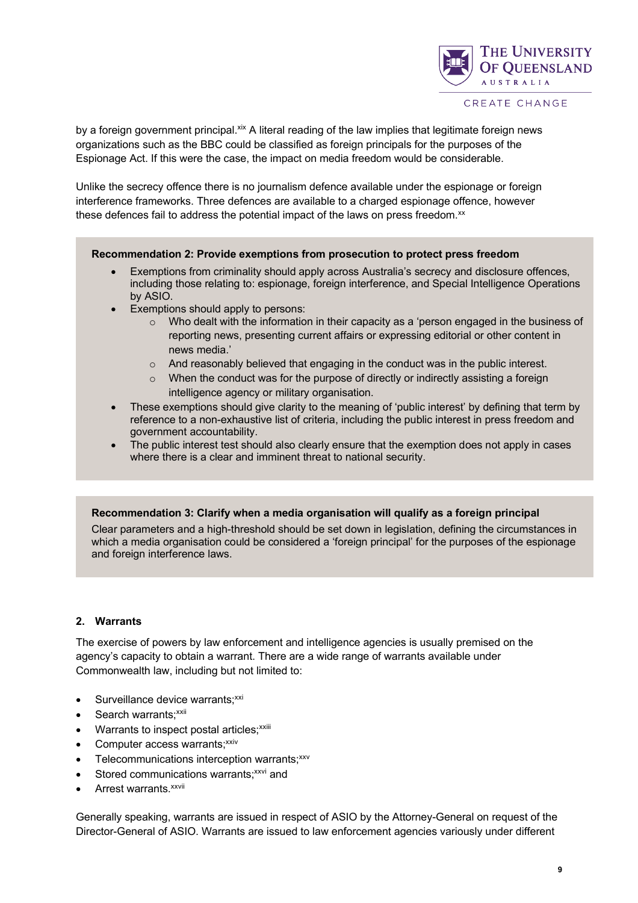

by a foreign government principal. $x^k$  A literal reading of the law implies that legitimate foreign news organizations such as the BBC could be classified as foreign principals for the purposes of the Espionage Act. If this were the case, the impact on media freedom would be considerable.

Unlike the secrecy offence there is no journalism defence available under the espionage or foreign interference frameworks. Three defences are available to a charged espionage offence, however these defences fail to address the potential impact of the laws on press freedom.<sup>xx</sup>

#### **Recommendation 2: Provide exemptions from prosecution to protect press freedom**

- Exemptions from criminality should apply across Australia's secrecy and disclosure offences, including those relating to: espionage, foreign interference, and Special Intelligence Operations by ASIO.
- Exemptions should apply to persons:
	- o Who dealt with the information in their capacity as a 'person engaged in the business of reporting news, presenting current affairs or expressing editorial or other content in news media.'
	- $\circ$  And reasonably believed that engaging in the conduct was in the public interest.
	- $\circ$  When the conduct was for the purpose of directly or indirectly assisting a foreign intelligence agency or military organisation.
- These exemptions should give clarity to the meaning of 'public interest' by defining that term by reference to a non-exhaustive list of criteria, including the public interest in press freedom and government accountability.
- The public interest test should also clearly ensure that the exemption does not apply in cases where there is a clear and imminent threat to national security.

#### **Recommendation 3: Clarify when a media organisation will qualify as a foreign principal**

Clear parameters and a high-threshold should be set down in legislation, defining the circumstances in which a media organisation could be considered a 'foreign principal' for the purposes of the espionage and foreign interference laws.

#### **2. Warrants**

The exercise of powers by law enforcement and intelligence agencies is usually premised on the agency's capacity to obtain a warrant. There are a wide range of warrants available under Commonwealth law, including but not limited to:

- $\bullet$  Surveillance device warrants; $xxi$
- $\bullet$  Search warrants; $xxi$
- Warrants to inspect postal articles;<sup>xxiii</sup>
- Computer access warrants;<sup>xxiv</sup>
- Telecommunications interception warrants;xxv
- Stored communications warrants: $x^{x}$ <sup>i</sup> and
- $\bullet$  Arrest warrants. $^{xxvii}$

Generally speaking, warrants are issued in respect of ASIO by the Attorney-General on request of the Director-General of ASIO. Warrants are issued to law enforcement agencies variously under different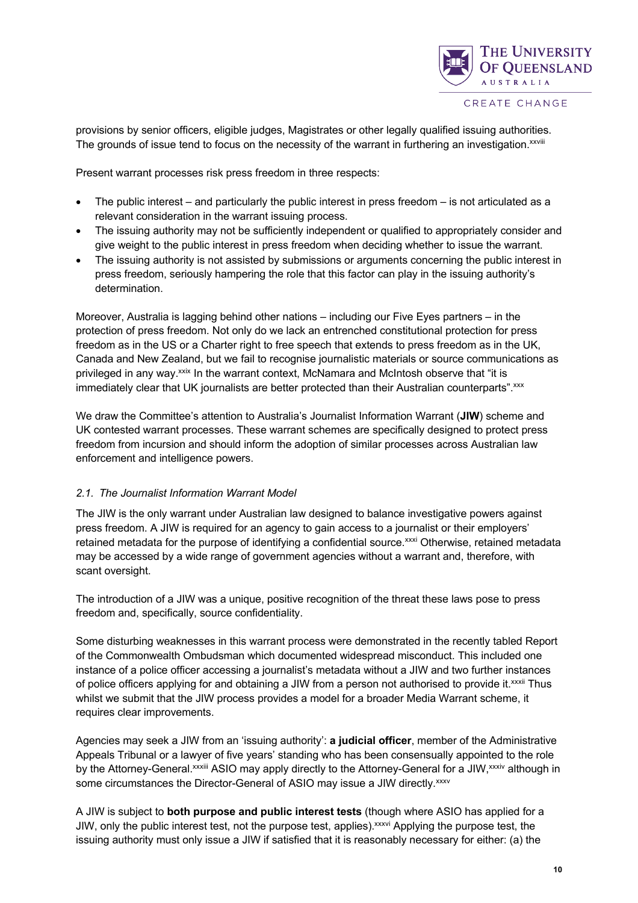

provisions by senior officers, eligible judges, Magistrates or other legally qualified issuing authorities. The grounds of issue tend to focus on the necessity of the warrant in furthering an investigation.<sup>xxviii</sup>

Present warrant processes risk press freedom in three respects:

- The public interest and particularly the public interest in press freedom is not articulated as a relevant consideration in the warrant issuing process.
- The issuing authority may not be sufficiently independent or qualified to appropriately consider and give weight to the public interest in press freedom when deciding whether to issue the warrant.
- The issuing authority is not assisted by submissions or arguments concerning the public interest in press freedom, seriously hampering the role that this factor can play in the issuing authority's determination.

Moreover, Australia is lagging behind other nations – including our Five Eyes partners – in the protection of press freedom. Not only do we lack an entrenched constitutional protection for press freedom as in the US or a Charter right to free speech that extends to press freedom as in the UK, Canada and New Zealand, but we fail to recognise journalistic materials or source communications as privileged in any way.<sup>xxix</sup> In the warrant context, McNamara and McIntosh observe that "it is immediately clear that UK journalists are better protected than their Australian counterparts". xxx

We draw the Committee's attention to Australia's Journalist Information Warrant (**JIW**) scheme and UK contested warrant processes. These warrant schemes are specifically designed to protect press freedom from incursion and should inform the adoption of similar processes across Australian law enforcement and intelligence powers.

#### *2.1. The Journalist Information Warrant Model*

The JIW is the only warrant under Australian law designed to balance investigative powers against press freedom. A JIW is required for an agency to gain access to a journalist or their employers' retained metadata for the purpose of identifying a confidential source.xxxi Otherwise, retained metadata may be accessed by a wide range of government agencies without a warrant and, therefore, with scant oversight.

The introduction of a JIW was a unique, positive recognition of the threat these laws pose to press freedom and, specifically, source confidentiality.

Some disturbing weaknesses in this warrant process were demonstrated in the recently tabled Report of the Commonwealth Ombudsman which documented widespread misconduct. This included one instance of a police officer accessing a journalist's metadata without a JIW and two further instances of police officers applying for and obtaining a JIW from a person not authorised to provide it.<sup>xxxii</sup> Thus whilst we submit that the JIW process provides a model for a broader Media Warrant scheme, it requires clear improvements.

Agencies may seek a JIW from an 'issuing authority': **a judicial officer**, member of the Administrative Appeals Tribunal or a lawyer of five years' standing who has been consensually appointed to the role by the Attorney-General.xxxiii ASIO may apply directly to the Attorney-General for a JIW, xxxiv although in some circumstances the Director-General of ASIO may issue a JIW directly. XXXV

A JIW is subject to **both purpose and public interest tests** (though where ASIO has applied for a JIW, only the public interest test, not the purpose test, applies). *xxxvi* Applying the purpose test, the issuing authority must only issue a JIW if satisfied that it is reasonably necessary for either: (a) the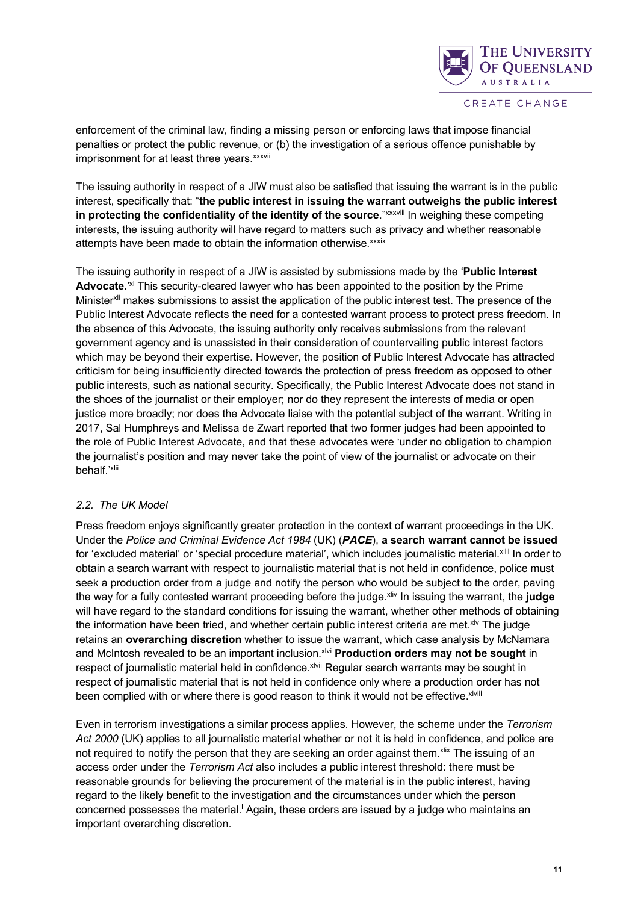

enforcement of the criminal law, finding a missing person or enforcing laws that impose financial penalties or protect the public revenue, or (b) the investigation of a serious offence punishable by imprisonment for at least three years. xxxvii

The issuing authority in respect of a JIW must also be satisfied that issuing the warrant is in the public interest, specifically that: "**the public interest in issuing the warrant outweighs the public interest in protecting the confidentiality of the identity of the source."***xxxviii* **In weighing these competing** interests, the issuing authority will have regard to matters such as privacy and whether reasonable attempts have been made to obtain the information otherwise.<sup>xxxix</sup>

The issuing authority in respect of a JIW is assisted by submissions made by the '**Public Interest**  Advocate.<sup>'xl</sup> This security-cleared lawyer who has been appointed to the position by the Prime Minister<sup>xli</sup> makes submissions to assist the application of the public interest test. The presence of the Public Interest Advocate reflects the need for a contested warrant process to protect press freedom. In the absence of this Advocate, the issuing authority only receives submissions from the relevant government agency and is unassisted in their consideration of countervailing public interest factors which may be beyond their expertise. However, the position of Public Interest Advocate has attracted criticism for being insufficiently directed towards the protection of press freedom as opposed to other public interests, such as national security. Specifically, the Public Interest Advocate does not stand in the shoes of the journalist or their employer; nor do they represent the interests of media or open justice more broadly; nor does the Advocate liaise with the potential subject of the warrant. Writing in 2017, Sal Humphreys and Melissa de Zwart reported that two former judges had been appointed to the role of Public Interest Advocate, and that these advocates were 'under no obligation to champion the journalist's position and may never take the point of view of the journalist or advocate on their behalf.'xlii

#### *2.2. The UK Model*

Press freedom enjoys significantly greater protection in the context of warrant proceedings in the UK. Under the *Police and Criminal Evidence Act 1984* (UK) (*PACE*), **a search warrant cannot be issued**  for 'excluded material' or 'special procedure material', which includes journalistic material.<sup>xliii</sup> In order to obtain a search warrant with respect to journalistic material that is not held in confidence, police must seek a production order from a judge and notify the person who would be subject to the order, paving the way for a fully contested warrant proceeding before the judge.<sup>xliv</sup> In issuing the warrant, the judge will have regard to the standard conditions for issuing the warrant, whether other methods of obtaining the information have been tried, and whether certain public interest criteria are met. $x^{iv}$  The judge retains an **overarching discretion** whether to issue the warrant, which case analysis by McNamara and McIntosh revealed to be an important inclusion.<sup>xlvi</sup> **Production orders may not be sought** in respect of journalistic material held in confidence. XIVII Regular search warrants may be sought in respect of journalistic material that is not held in confidence only where a production order has not been complied with or where there is good reason to think it would not be effective. XIVIII

Even in terrorism investigations a similar process applies. However, the scheme under the *Terrorism Act 2000* (UK) applies to all journalistic material whether or not it is held in confidence, and police are not required to notify the person that they are seeking an order against them.<sup>xlix</sup> The issuing of an access order under the *Terrorism Act* also includes a public interest threshold: there must be reasonable grounds for believing the procurement of the material is in the public interest, having regard to the likely benefit to the investigation and the circumstances under which the person concerned possesses the material.<sup>|</sup> Again, these orders are issued by a judge who maintains an important overarching discretion.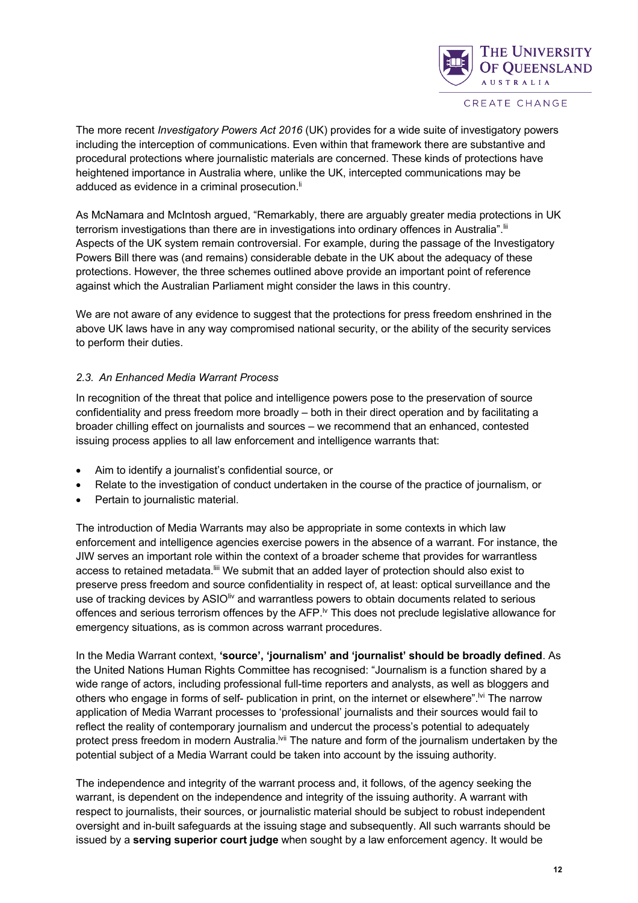

The more recent *Investigatory Powers Act 2016* (UK) provides for a wide suite of investigatory powers including the interception of communications. Even within that framework there are substantive and procedural protections where journalistic materials are concerned. These kinds of protections have heightened importance in Australia where, unlike the UK, intercepted communications may be adduced as evidence in a criminal prosecution.<sup>ii</sup>

As McNamara and McIntosh argued, "Remarkably, there are arguably greater media protections in UK terrorism investigations than there are in investigations into ordinary offences in Australia".<sup>iii</sup> Aspects of the UK system remain controversial. For example, during the passage of the Investigatory Powers Bill there was (and remains) considerable debate in the UK about the adequacy of these protections. However, the three schemes outlined above provide an important point of reference against which the Australian Parliament might consider the laws in this country.

We are not aware of any evidence to suggest that the protections for press freedom enshrined in the above UK laws have in any way compromised national security, or the ability of the security services to perform their duties.

#### *2.3. An Enhanced Media Warrant Process*

In recognition of the threat that police and intelligence powers pose to the preservation of source confidentiality and press freedom more broadly – both in their direct operation and by facilitating a broader chilling effect on journalists and sources – we recommend that an enhanced, contested issuing process applies to all law enforcement and intelligence warrants that:

- Aim to identify a journalist's confidential source, or
- Relate to the investigation of conduct undertaken in the course of the practice of journalism, or
- Pertain to journalistic material.

The introduction of Media Warrants may also be appropriate in some contexts in which law enforcement and intelligence agencies exercise powers in the absence of a warrant. For instance, the JIW serves an important role within the context of a broader scheme that provides for warrantless access to retained metadata. III We submit that an added layer of protection should also exist to preserve press freedom and source confidentiality in respect of, at least: optical surveillance and the use of tracking devices by ASIO<sup>liv</sup> and warrantless powers to obtain documents related to serious offences and serious terrorism offences by the AFP.<sup>Iv</sup> This does not preclude legislative allowance for emergency situations, as is common across warrant procedures.

In the Media Warrant context, **'source', 'journalism' and 'journalist' should be broadly defined**. As the United Nations Human Rights Committee has recognised: "Journalism is a function shared by a wide range of actors, including professional full-time reporters and analysts, as well as bloggers and others who engage in forms of self- publication in print, on the internet or elsewhere".<sup>Ivi</sup> The narrow application of Media Warrant processes to 'professional' journalists and their sources would fail to reflect the reality of contemporary journalism and undercut the process's potential to adequately protect press freedom in modern Australia.<sup>Ivii</sup> The nature and form of the journalism undertaken by the potential subject of a Media Warrant could be taken into account by the issuing authority.

The independence and integrity of the warrant process and, it follows, of the agency seeking the warrant, is dependent on the independence and integrity of the issuing authority. A warrant with respect to journalists, their sources, or journalistic material should be subject to robust independent oversight and in-built safeguards at the issuing stage and subsequently. All such warrants should be issued by a **serving superior court judge** when sought by a law enforcement agency. It would be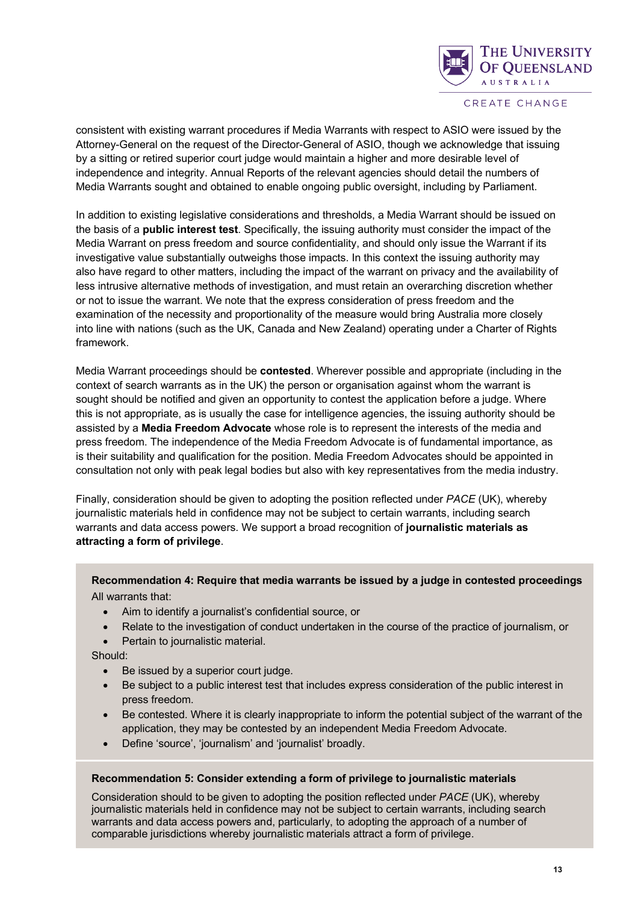

consistent with existing warrant procedures if Media Warrants with respect to ASIO were issued by the Attorney-General on the request of the Director-General of ASIO, though we acknowledge that issuing by a sitting or retired superior court judge would maintain a higher and more desirable level of independence and integrity. Annual Reports of the relevant agencies should detail the numbers of Media Warrants sought and obtained to enable ongoing public oversight, including by Parliament.

In addition to existing legislative considerations and thresholds, a Media Warrant should be issued on the basis of a **public interest test**. Specifically, the issuing authority must consider the impact of the Media Warrant on press freedom and source confidentiality, and should only issue the Warrant if its investigative value substantially outweighs those impacts. In this context the issuing authority may also have regard to other matters, including the impact of the warrant on privacy and the availability of less intrusive alternative methods of investigation, and must retain an overarching discretion whether or not to issue the warrant. We note that the express consideration of press freedom and the examination of the necessity and proportionality of the measure would bring Australia more closely into line with nations (such as the UK, Canada and New Zealand) operating under a Charter of Rights framework.

Media Warrant proceedings should be **contested**. Wherever possible and appropriate (including in the context of search warrants as in the UK) the person or organisation against whom the warrant is sought should be notified and given an opportunity to contest the application before a judge. Where this is not appropriate, as is usually the case for intelligence agencies, the issuing authority should be assisted by a **Media Freedom Advocate** whose role is to represent the interests of the media and press freedom. The independence of the Media Freedom Advocate is of fundamental importance, as is their suitability and qualification for the position. Media Freedom Advocates should be appointed in consultation not only with peak legal bodies but also with key representatives from the media industry.

Finally, consideration should be given to adopting the position reflected under *PACE* (UK), whereby journalistic materials held in confidence may not be subject to certain warrants, including search warrants and data access powers. We support a broad recognition of **journalistic materials as attracting a form of privilege**.

#### **Recommendation 4: Require that media warrants be issued by a judge in contested proceedings** All warrants that:

- Aim to identify a journalist's confidential source, or
- Relate to the investigation of conduct undertaken in the course of the practice of journalism, or
- Pertain to journalistic material.

Should:

- Be issued by a superior court judge.
- Be subject to a public interest test that includes express consideration of the public interest in press freedom.
- Be contested. Where it is clearly inappropriate to inform the potential subject of the warrant of the application, they may be contested by an independent Media Freedom Advocate.
- Define 'source', 'journalism' and 'journalist' broadly.

#### **Recommendation 5: Consider extending a form of privilege to journalistic materials**

Consideration should to be given to adopting the position reflected under *PACE* (UK), whereby journalistic materials held in confidence may not be subject to certain warrants, including search warrants and data access powers and, particularly, to adopting the approach of a number of comparable jurisdictions whereby journalistic materials attract a form of privilege.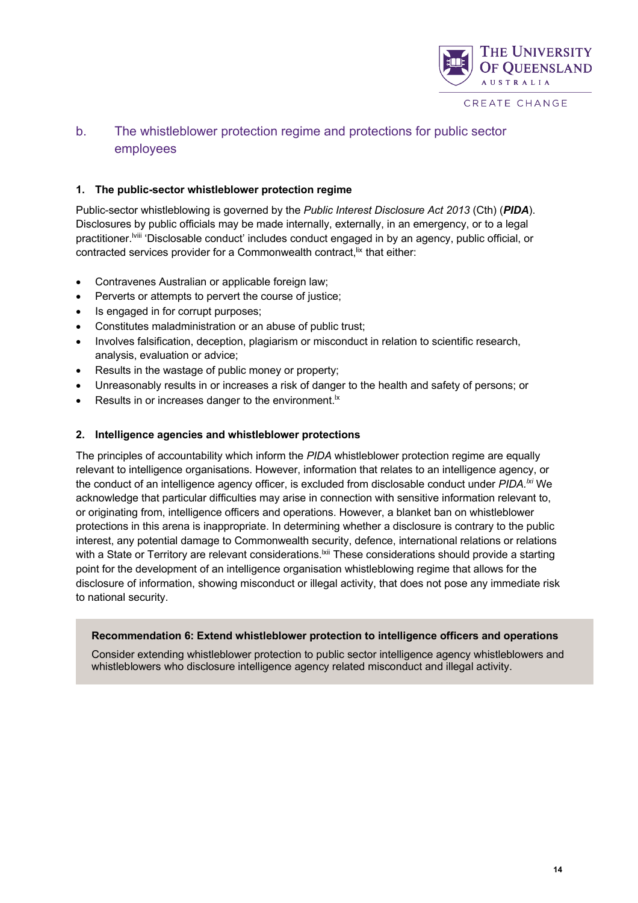

### b. The whistleblower protection regime and protections for public sector employees

#### **1. The public-sector whistleblower protection regime**

Public-sector whistleblowing is governed by the *Public Interest Disclosure Act 2013* (Cth) (*PIDA*). Disclosures by public officials may be made internally, externally, in an emergency, or to a legal practitioner.<sup>Iviii</sup> 'Disclosable conduct' includes conduct engaged in by an agency, public official, or contracted services provider for a Commonwealth contract, <sup>IIX</sup> that either:

- Contravenes Australian or applicable foreign law;
- Perverts or attempts to pervert the course of justice;
- Is engaged in for corrupt purposes;
- Constitutes maladministration or an abuse of public trust;
- Involves falsification, deception, plagiarism or misconduct in relation to scientific research, analysis, evaluation or advice;
- Results in the wastage of public money or property;
- Unreasonably results in or increases a risk of danger to the health and safety of persons; or
- Results in or increases danger to the environment. $\vert x \vert$

#### **2. Intelligence agencies and whistleblower protections**

The principles of accountability which inform the *PIDA* whistleblower protection regime are equally relevant to intelligence organisations. However, information that relates to an intelligence agency, or the conduct of an intelligence agency officer, is excluded from disclosable conduct under *PIDA.lxi* We acknowledge that particular difficulties may arise in connection with sensitive information relevant to, or originating from, intelligence officers and operations. However, a blanket ban on whistleblower protections in this arena is inappropriate. In determining whether a disclosure is contrary to the public interest, any potential damage to Commonwealth security, defence, international relations or relations with a State or Territory are relevant considerations.<sup>|xii</sup> These considerations should provide a starting point for the development of an intelligence organisation whistleblowing regime that allows for the disclosure of information, showing misconduct or illegal activity, that does not pose any immediate risk to national security.

#### **Recommendation 6: Extend whistleblower protection to intelligence officers and operations**

Consider extending whistleblower protection to public sector intelligence agency whistleblowers and whistleblowers who disclosure intelligence agency related misconduct and illegal activity.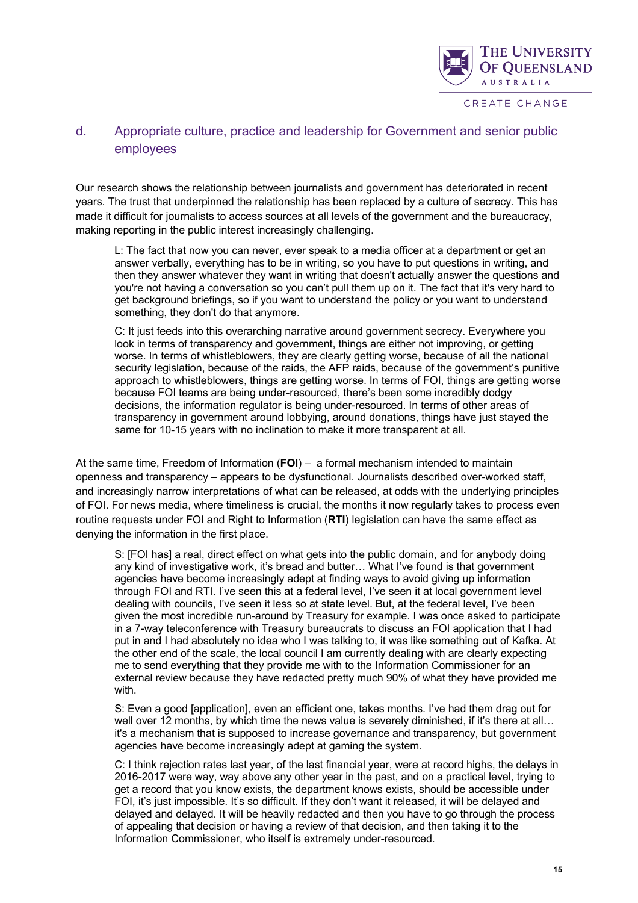

### d. Appropriate culture, practice and leadership for Government and senior public employees

Our research shows the relationship between journalists and government has deteriorated in recent years. The trust that underpinned the relationship has been replaced by a culture of secrecy. This has made it difficult for journalists to access sources at all levels of the government and the bureaucracy, making reporting in the public interest increasingly challenging.

L: The fact that now you can never, ever speak to a media officer at a department or get an answer verbally, everything has to be in writing, so you have to put questions in writing, and then they answer whatever they want in writing that doesn't actually answer the questions and you're not having a conversation so you can't pull them up on it. The fact that it's very hard to get background briefings, so if you want to understand the policy or you want to understand something, they don't do that anymore.

C: It just feeds into this overarching narrative around government secrecy. Everywhere you look in terms of transparency and government, things are either not improving, or getting worse. In terms of whistleblowers, they are clearly getting worse, because of all the national security legislation, because of the raids, the AFP raids, because of the government's punitive approach to whistleblowers, things are getting worse. In terms of FOI, things are getting worse because FOI teams are being under-resourced, there's been some incredibly dodgy decisions, the information regulator is being under-resourced. In terms of other areas of transparency in government around lobbying, around donations, things have just stayed the same for 10-15 years with no inclination to make it more transparent at all.

At the same time, Freedom of Information (**FOI**) – a formal mechanism intended to maintain openness and transparency – appears to be dysfunctional. Journalists described over-worked staff, and increasingly narrow interpretations of what can be released, at odds with the underlying principles of FOI. For news media, where timeliness is crucial, the months it now regularly takes to process even routine requests under FOI and Right to Information (**RTI**) legislation can have the same effect as denying the information in the first place.

S: [FOI has] a real, direct effect on what gets into the public domain, and for anybody doing any kind of investigative work, it's bread and butter… What I've found is that government agencies have become increasingly adept at finding ways to avoid giving up information through FOI and RTI. I've seen this at a federal level, I've seen it at local government level dealing with councils, I've seen it less so at state level. But, at the federal level, I've been given the most incredible run-around by Treasury for example. I was once asked to participate in a 7-way teleconference with Treasury bureaucrats to discuss an FOI application that I had put in and I had absolutely no idea who I was talking to, it was like something out of Kafka. At the other end of the scale, the local council I am currently dealing with are clearly expecting me to send everything that they provide me with to the Information Commissioner for an external review because they have redacted pretty much 90% of what they have provided me with.

S: Even a good [application], even an efficient one, takes months. I've had them drag out for well over 12 months, by which time the news value is severely diminished, if it's there at all... it's a mechanism that is supposed to increase governance and transparency, but government agencies have become increasingly adept at gaming the system.

C: I think rejection rates last year, of the last financial year, were at record highs, the delays in 2016-2017 were way, way above any other year in the past, and on a practical level, trying to get a record that you know exists, the department knows exists, should be accessible under FOI, it's just impossible. It's so difficult. If they don't want it released, it will be delayed and delayed and delayed. It will be heavily redacted and then you have to go through the process of appealing that decision or having a review of that decision, and then taking it to the Information Commissioner, who itself is extremely under-resourced.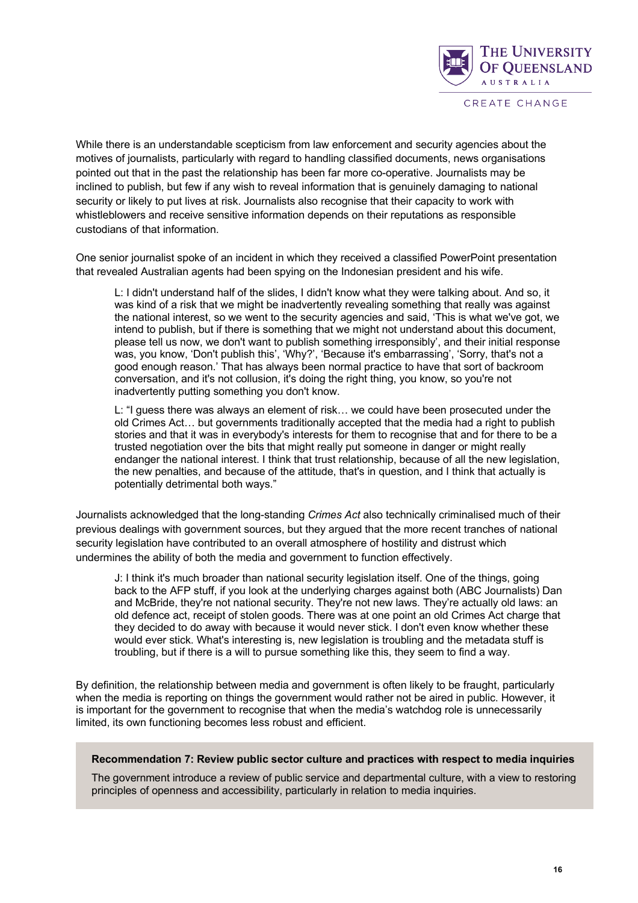

While there is an understandable scepticism from law enforcement and security agencies about the motives of journalists, particularly with regard to handling classified documents, news organisations pointed out that in the past the relationship has been far more co-operative. Journalists may be inclined to publish, but few if any wish to reveal information that is genuinely damaging to national security or likely to put lives at risk. Journalists also recognise that their capacity to work with whistleblowers and receive sensitive information depends on their reputations as responsible custodians of that information.

One senior journalist spoke of an incident in which they received a classified PowerPoint presentation that revealed Australian agents had been spying on the Indonesian president and his wife.

L: I didn't understand half of the slides, I didn't know what they were talking about. And so, it was kind of a risk that we might be inadvertently revealing something that really was against the national interest, so we went to the security agencies and said, 'This is what we've got, we intend to publish, but if there is something that we might not understand about this document, please tell us now, we don't want to publish something irresponsibly', and their initial response was, you know, 'Don't publish this', 'Why?', 'Because it's embarrassing', 'Sorry, that's not a good enough reason.' That has always been normal practice to have that sort of backroom conversation, and it's not collusion, it's doing the right thing, you know, so you're not inadvertently putting something you don't know.

L: "I guess there was always an element of risk… we could have been prosecuted under the old Crimes Act… but governments traditionally accepted that the media had a right to publish stories and that it was in everybody's interests for them to recognise that and for there to be a trusted negotiation over the bits that might really put someone in danger or might really endanger the national interest. I think that trust relationship, because of all the new legislation, the new penalties, and because of the attitude, that's in question, and I think that actually is potentially detrimental both ways."

Journalists acknowledged that the long-standing *Crimes Act* also technically criminalised much of their previous dealings with government sources, but they argued that the more recent tranches of national security legislation have contributed to an overall atmosphere of hostility and distrust which undermines the ability of both the media and government to function effectively.

J: I think it's much broader than national security legislation itself. One of the things, going back to the AFP stuff, if you look at the underlying charges against both (ABC Journalists) Dan and McBride, they're not national security. They're not new laws. They're actually old laws: an old defence act, receipt of stolen goods. There was at one point an old Crimes Act charge that they decided to do away with because it would never stick. I don't even know whether these would ever stick. What's interesting is, new legislation is troubling and the metadata stuff is troubling, but if there is a will to pursue something like this, they seem to find a way.

By definition, the relationship between media and government is often likely to be fraught, particularly when the media is reporting on things the government would rather not be aired in public. However, it is important for the government to recognise that when the media's watchdog role is unnecessarily limited, its own functioning becomes less robust and efficient.

#### **Recommendation 7: Review public sector culture and practices with respect to media inquiries**

The government introduce a review of public service and departmental culture, with a view to restoring principles of openness and accessibility, particularly in relation to media inquiries.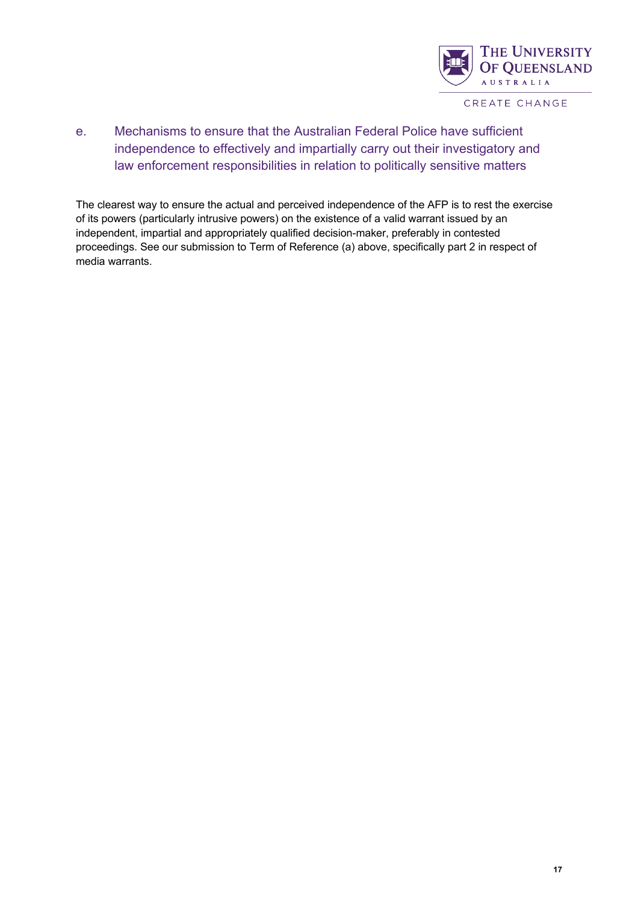

e. Mechanisms to ensure that the Australian Federal Police have sufficient independence to effectively and impartially carry out their investigatory and law enforcement responsibilities in relation to politically sensitive matters

The clearest way to ensure the actual and perceived independence of the AFP is to rest the exercise of its powers (particularly intrusive powers) on the existence of a valid warrant issued by an independent, impartial and appropriately qualified decision-maker, preferably in contested proceedings. See our submission to Term of Reference (a) above, specifically part 2 in respect of media warrants.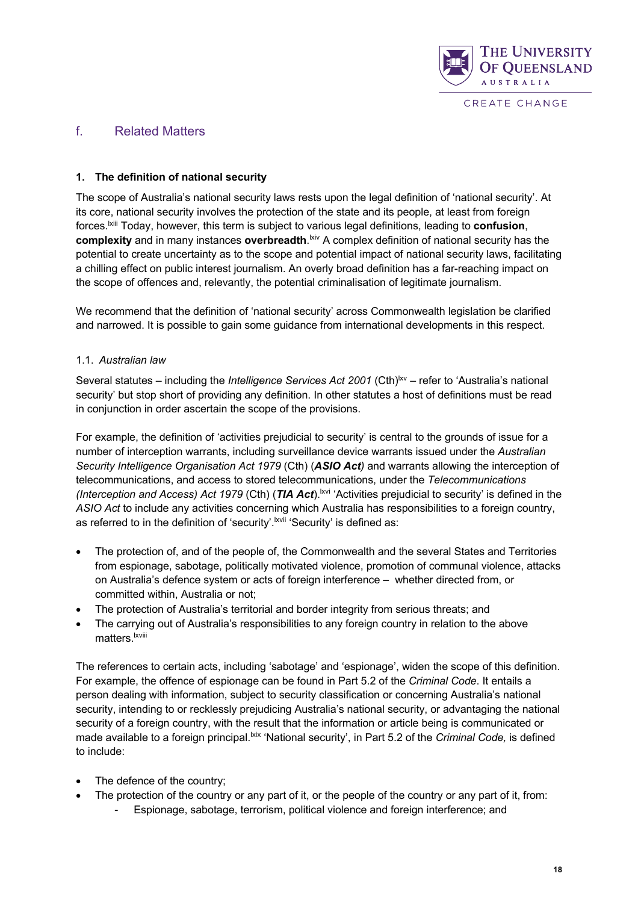

#### f. Related Matters

#### **1. The definition of national security**

The scope of Australia's national security laws rests upon the legal definition of 'national security'. At its core, national security involves the protection of the state and its people, at least from foreign forces.lxiii Today, however, this term is subject to various legal definitions, leading to **confusion**, complexity and in many instances overbreadth.<sup>kiv</sup> A complex definition of national security has the potential to create uncertainty as to the scope and potential impact of national security laws, facilitating a chilling effect on public interest journalism. An overly broad definition has a far-reaching impact on the scope of offences and, relevantly, the potential criminalisation of legitimate journalism.

We recommend that the definition of 'national security' across Commonwealth legislation be clarified and narrowed. It is possible to gain some guidance from international developments in this respect.

#### 1.1. *Australian law*

Several statutes – including the *Intelligence Services Act 2001* (Cth)<sup>lxv</sup> – refer to 'Australia's national security' but stop short of providing any definition. In other statutes a host of definitions must be read in conjunction in order ascertain the scope of the provisions.

For example, the definition of 'activities prejudicial to security' is central to the grounds of issue for a number of interception warrants, including surveillance device warrants issued under the *Australian Security Intelligence Organisation Act 1979* (Cth) (*ASIO Act)* and warrants allowing the interception of telecommunications, and access to stored telecommunications, under the *Telecommunications (Interception and Access) Act 1979 (Cth) (TIA Act).<sup>Ixvi</sup> 'Activities prejudicial to security' is defined in the ASIO Act* to include any activities concerning which Australia has responsibilities to a foreign country, as referred to in the definition of 'security'.<sup>Lxvii</sup> 'Security' is defined as:

- The protection of, and of the people of, the Commonwealth and the several States and Territories from espionage, sabotage, politically motivated violence, promotion of communal violence, attacks on Australia's defence system or acts of foreign interference – whether directed from, or committed within, Australia or not;
- The protection of Australia's territorial and border integrity from serious threats; and
- The carrying out of Australia's responsibilities to any foreign country in relation to the above matters.<sup>Ixviii</sup>

The references to certain acts, including 'sabotage' and 'espionage', widen the scope of this definition. For example, the offence of espionage can be found in Part 5.2 of the *Criminal Code*. It entails a person dealing with information, subject to security classification or concerning Australia's national security, intending to or recklessly prejudicing Australia's national security, or advantaging the national security of a foreign country, with the result that the information or article being is communicated or made available to a foreign principal.<sup>|xix</sup> 'National security', in Part 5.2 of the *Criminal Code*, is defined to include:

- The defence of the country;
- The protection of the country or any part of it, or the people of the country or any part of it, from:
	- Espionage, sabotage, terrorism, political violence and foreign interference; and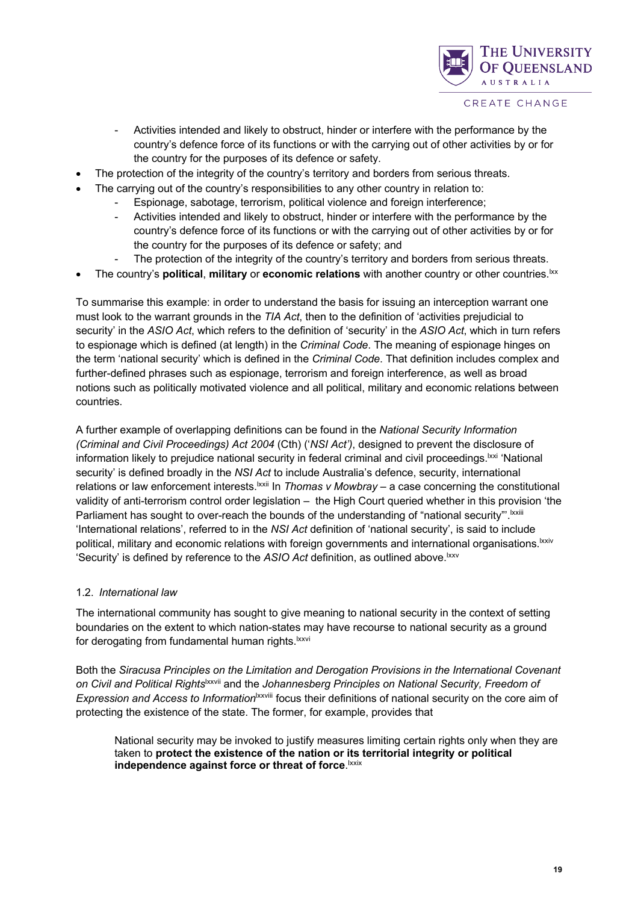

- Activities intended and likely to obstruct, hinder or interfere with the performance by the country's defence force of its functions or with the carrying out of other activities by or for the country for the purposes of its defence or safety.
- The protection of the integrity of the country's territory and borders from serious threats.
- The carrying out of the country's responsibilities to any other country in relation to:
	- Espionage, sabotage, terrorism, political violence and foreign interference;
	- Activities intended and likely to obstruct, hinder or interfere with the performance by the country's defence force of its functions or with the carrying out of other activities by or for the country for the purposes of its defence or safety; and
	- The protection of the integrity of the country's territory and borders from serious threats.
- The country's **political**, **military** or **economic relations** with another country or other countries.lxx

To summarise this example: in order to understand the basis for issuing an interception warrant one must look to the warrant grounds in the *TIA Act*, then to the definition of 'activities prejudicial to security' in the *ASIO Act*, which refers to the definition of 'security' in the *ASIO Act*, which in turn refers to espionage which is defined (at length) in the *Criminal Code*. The meaning of espionage hinges on the term 'national security' which is defined in the *Criminal Code*. That definition includes complex and further-defined phrases such as espionage, terrorism and foreign interference, as well as broad notions such as politically motivated violence and all political, military and economic relations between countries.

A further example of overlapping definitions can be found in the *National Security Information (Criminal and Civil Proceedings) Act 2004* (Cth) ('*NSI Act')*, designed to prevent the disclosure of information likely to prejudice national security in federal criminal and civil proceedings. **xxi** 'National security' is defined broadly in the *NSI Act* to include Australia's defence, security, international relations or law enforcement interests.<sup>Ixxii</sup> In *Thomas v Mowbray* – a case concerning the constitutional validity of anti-terrorism control order legislation – the High Court queried whether in this provision 'the Parliament has sought to over-reach the bounds of the understanding of "national security"'.<sup>[xxiii</sup>] 'International relations', referred to in the *NSI Act* definition of 'national security', is said to include political, military and economic relations with foreign governments and international organisations.<sup>1xxiv</sup> 'Security' is defined by reference to the *ASIO Act* definition, as outlined above.<sup>1xxv</sup>

#### 1.2. *International law*

The international community has sought to give meaning to national security in the context of setting boundaries on the extent to which nation-states may have recourse to national security as a ground for derogating from fundamental human rights.<sup>Ixxvi</sup>

Both the *Siracusa Principles on the Limitation and Derogation Provisions in the International Covenant on Civil and Political Rights*lxxvii and the *Johannesberg Principles on National Security, Freedom of Expression and Access to Information<sup>|xxviii</sup>* focus their definitions of national security on the core aim of protecting the existence of the state. The former, for example, provides that

National security may be invoked to justify measures limiting certain rights only when they are taken to **protect the existence of the nation or its territorial integrity or political**  independence against force or threat of force. **Ixxix**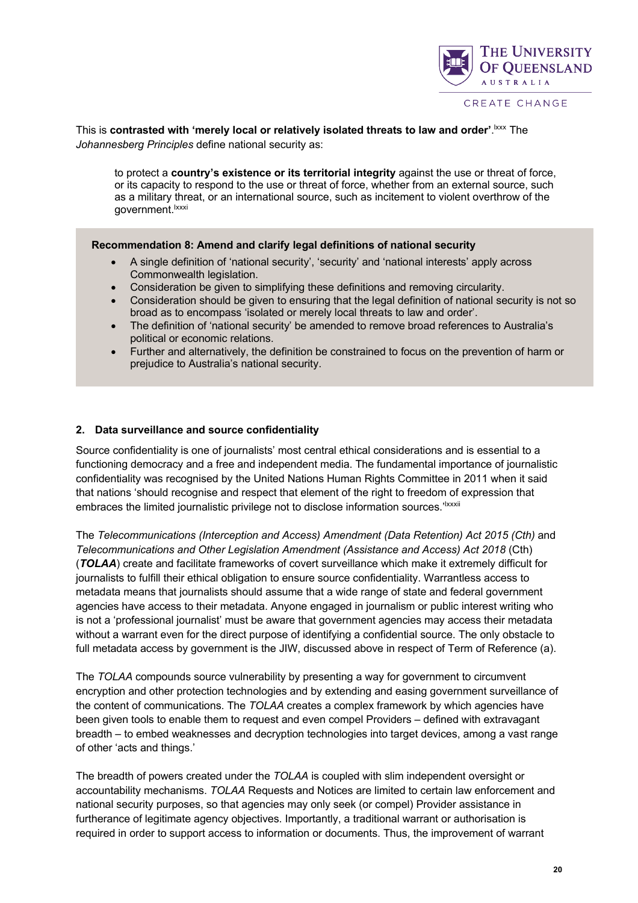

This is contrasted with 'merely local or relatively isolated threats to law and order'. Exxx The *Johannesberg Principles* define national security as:

to protect a **country's existence or its territorial integrity** against the use or threat of force, or its capacity to respond to the use or threat of force, whether from an external source, such as a military threat, or an international source, such as incitement to violent overthrow of the government.<sup>lxxxi</sup>

#### **Recommendation 8: Amend and clarify legal definitions of national security**

- A single definition of 'national security', 'security' and 'national interests' apply across Commonwealth legislation.
- Consideration be given to simplifying these definitions and removing circularity.
- Consideration should be given to ensuring that the legal definition of national security is not so broad as to encompass 'isolated or merely local threats to law and order'.
- The definition of 'national security' be amended to remove broad references to Australia's political or economic relations.
- Further and alternatively, the definition be constrained to focus on the prevention of harm or prejudice to Australia's national security.

#### **2. Data surveillance and source confidentiality**

Source confidentiality is one of journalists' most central ethical considerations and is essential to a functioning democracy and a free and independent media. The fundamental importance of journalistic confidentiality was recognised by the United Nations Human Rights Committee in 2011 when it said that nations 'should recognise and respect that element of the right to freedom of expression that embraces the limited journalistic privilege not to disclose information sources.<sup>'Ixxxii</sup>

The *Telecommunications (Interception and Access) Amendment (Data Retention) Act 2015 (Cth)* and *Telecommunications and Other Legislation Amendment (Assistance and Access) Act 2018* (Cth) (*TOLAA*) create and facilitate frameworks of covert surveillance which make it extremely difficult for journalists to fulfill their ethical obligation to ensure source confidentiality. Warrantless access to metadata means that journalists should assume that a wide range of state and federal government agencies have access to their metadata. Anyone engaged in journalism or public interest writing who is not a 'professional journalist' must be aware that government agencies may access their metadata without a warrant even for the direct purpose of identifying a confidential source. The only obstacle to full metadata access by government is the JIW, discussed above in respect of Term of Reference (a).

The *TOLAA* compounds source vulnerability by presenting a way for government to circumvent encryption and other protection technologies and by extending and easing government surveillance of the content of communications. The *TOLAA* creates a complex framework by which agencies have been given tools to enable them to request and even compel Providers – defined with extravagant breadth – to embed weaknesses and decryption technologies into target devices, among a vast range of other 'acts and things.'

The breadth of powers created under the *TOLAA* is coupled with slim independent oversight or accountability mechanisms. *TOLAA* Requests and Notices are limited to certain law enforcement and national security purposes, so that agencies may only seek (or compel) Provider assistance in furtherance of legitimate agency objectives. Importantly, a traditional warrant or authorisation is required in order to support access to information or documents. Thus, the improvement of warrant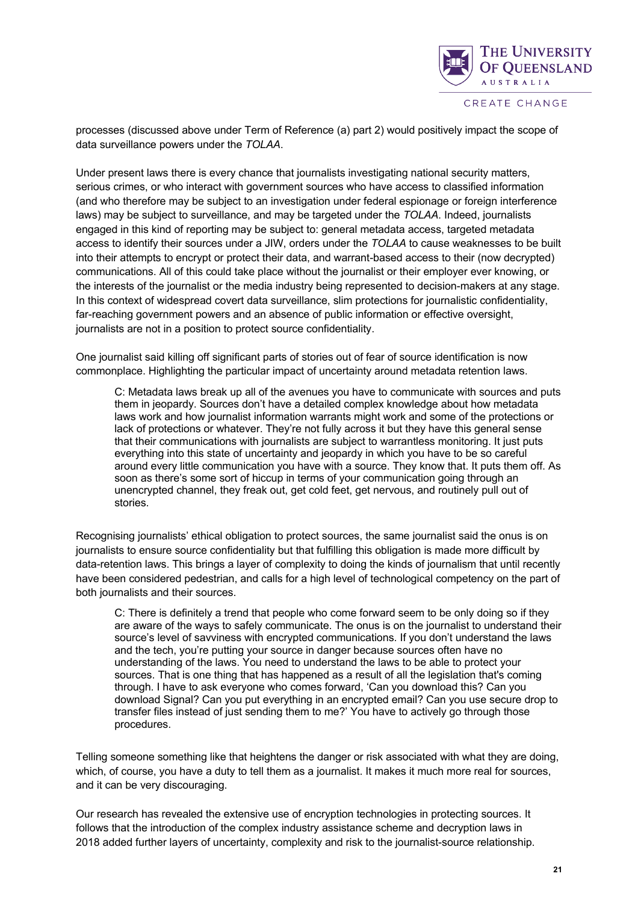

processes (discussed above under Term of Reference (a) part 2) would positively impact the scope of data surveillance powers under the *TOLAA*.

Under present laws there is every chance that journalists investigating national security matters, serious crimes, or who interact with government sources who have access to classified information (and who therefore may be subject to an investigation under federal espionage or foreign interference laws) may be subject to surveillance, and may be targeted under the *TOLAA*. Indeed, journalists engaged in this kind of reporting may be subject to: general metadata access, targeted metadata access to identify their sources under a JIW, orders under the *TOLAA* to cause weaknesses to be built into their attempts to encrypt or protect their data, and warrant-based access to their (now decrypted) communications. All of this could take place without the journalist or their employer ever knowing, or the interests of the journalist or the media industry being represented to decision-makers at any stage. In this context of widespread covert data surveillance, slim protections for journalistic confidentiality, far-reaching government powers and an absence of public information or effective oversight, journalists are not in a position to protect source confidentiality.

One journalist said killing off significant parts of stories out of fear of source identification is now commonplace. Highlighting the particular impact of uncertainty around metadata retention laws.

C: Metadata laws break up all of the avenues you have to communicate with sources and puts them in jeopardy. Sources don't have a detailed complex knowledge about how metadata laws work and how journalist information warrants might work and some of the protections or lack of protections or whatever. They're not fully across it but they have this general sense that their communications with journalists are subject to warrantless monitoring. It just puts everything into this state of uncertainty and jeopardy in which you have to be so careful around every little communication you have with a source. They know that. It puts them off. As soon as there's some sort of hiccup in terms of your communication going through an unencrypted channel, they freak out, get cold feet, get nervous, and routinely pull out of stories.

Recognising journalists' ethical obligation to protect sources, the same journalist said the onus is on journalists to ensure source confidentiality but that fulfilling this obligation is made more difficult by data-retention laws. This brings a layer of complexity to doing the kinds of journalism that until recently have been considered pedestrian, and calls for a high level of technological competency on the part of both journalists and their sources.

C: There is definitely a trend that people who come forward seem to be only doing so if they are aware of the ways to safely communicate. The onus is on the journalist to understand their source's level of savviness with encrypted communications. If you don't understand the laws and the tech, you're putting your source in danger because sources often have no understanding of the laws. You need to understand the laws to be able to protect your sources. That is one thing that has happened as a result of all the legislation that's coming through. I have to ask everyone who comes forward, 'Can you download this? Can you download Signal? Can you put everything in an encrypted email? Can you use secure drop to transfer files instead of just sending them to me?' You have to actively go through those procedures.

Telling someone something like that heightens the danger or risk associated with what they are doing, which, of course, you have a duty to tell them as a journalist. It makes it much more real for sources, and it can be very discouraging.

Our research has revealed the extensive use of encryption technologies in protecting sources. It follows that the introduction of the complex industry assistance scheme and decryption laws in 2018 added further layers of uncertainty, complexity and risk to the journalist-source relationship.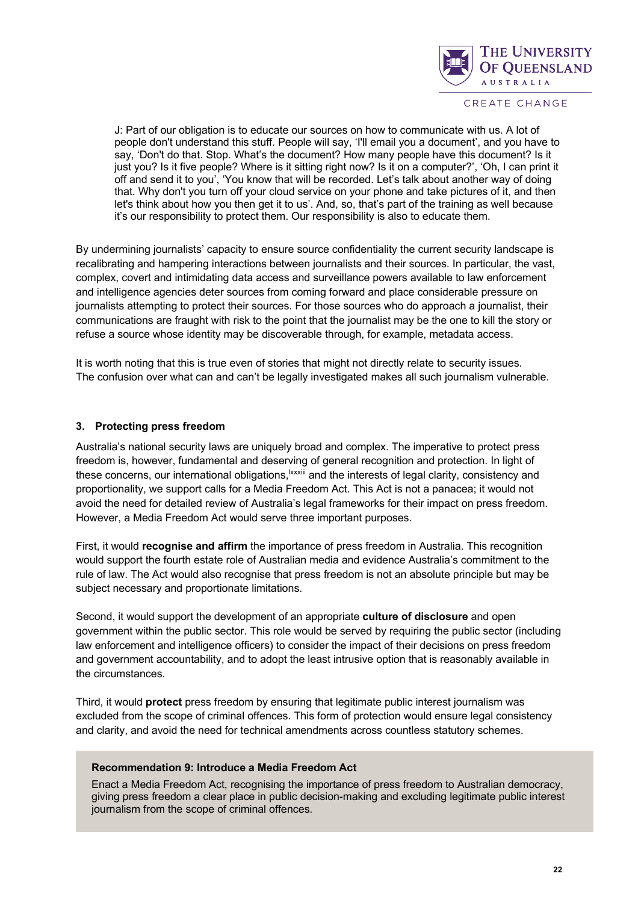

J: Part of our obligation is to educate our sources on how to communicate with us. A lot of people don't understand this stuff. People will say, 'I'll email you a document', and you have to say, 'Don't do that. Stop. What's the document? How many people have this document? Is it just you? Is it five people? Where is it sitting right now? Is it on a computer?', 'Oh, I can print it off and send it to you', 'You know that will be recorded. Let's talk about another way of doing that. Why don't you turn off your cloud service on your phone and take pictures of it, and then let's think about how you then get it to us'. And, so, that's part of the training as well because it's our responsibility to protect them. Our responsibility is also to educate them.

By undermining journalists' capacity to ensure source confidentiality the current security landscape is recalibrating and hampering interactions between journalists and their sources. In particular, the vast, complex, covert and intimidating data access and surveillance powers available to law enforcement and intelligence agencies deter sources from coming forward and place considerable pressure on journalists attempting to protect their sources. For those sources who do approach a journalist, their communications are fraught with risk to the point that the journalist may be the one to kill the story or refuse a source whose identity may be discoverable through, for example, metadata access.

It is worth noting that this is true even of stories that might not directly relate to security issues. The confusion over what can and can't be legally investigated makes all such journalism vulnerable.

#### **3. Protecting press freedom**

Australia's national security laws are uniquely broad and complex. The imperative to protect press freedom is, however, fundamental and deserving of general recognition and protection. In light of these concerns, our international obligations, xxxiii and the interests of legal clarity, consistency and proportionality, we support calls for a Media Freedom Act. This Act is not a panacea; it would not avoid the need for detailed review of Australia's legal frameworks for their impact on press freedom. However, a Media Freedom Act would serve three important purposes.

First, it would **recognise and affirm** the importance of press freedom in Australia. This recognition would support the fourth estate role of Australian media and evidence Australia's commitment to the rule of law. The Act would also recognise that press freedom is not an absolute principle but may be subject necessary and proportionate limitations.

Second, it would support the development of an appropriate **culture of disclosure** and open government within the public sector. This role would be served by requiring the public sector (including law enforcement and intelligence officers) to consider the impact of their decisions on press freedom and government accountability, and to adopt the least intrusive option that is reasonably available in the circumstances.

Third, it would **protect** press freedom by ensuring that legitimate public interest journalism was excluded from the scope of criminal offences. This form of protection would ensure legal consistency and clarity, and avoid the need for technical amendments across countless statutory schemes.

#### **Recommendation 9: Introduce a Media Freedom Act**

Enact a Media Freedom Act, recognising the importance of press freedom to Australian democracy, giving press freedom a clear place in public decision-making and excluding legitimate public interest journalism from the scope of criminal offences.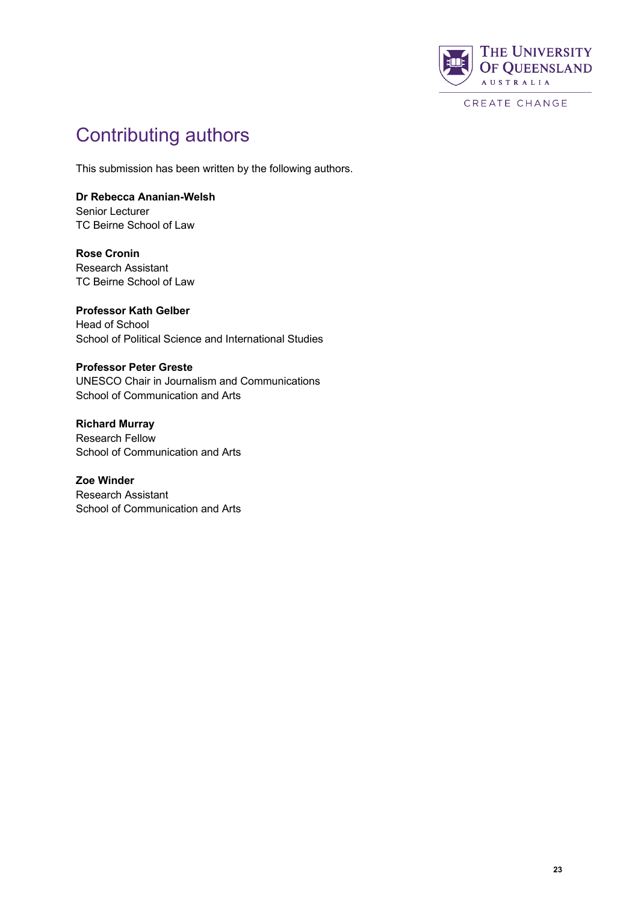

# Contributing authors

This submission has been written by the following authors.

### **Dr Rebecca Ananian-Welsh**

Senior Lecturer TC Beirne School of Law

**Rose Cronin** Research Assistant TC Beirne School of Law

**Professor Kath Gelber** Head of School School of Political Science and International Studies

#### **Professor Peter Greste**

UNESCO Chair in Journalism and Communications School of Communication and Arts

**Richard Murray** Research Fellow School of Communication and Arts

**Zoe Winder** Research Assistant School of Communication and Arts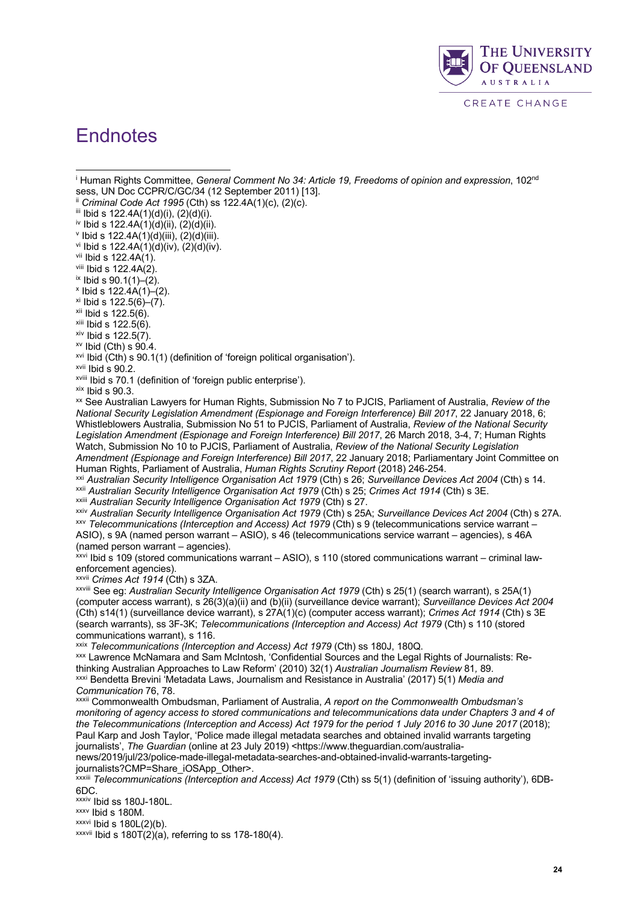

### **Endnotes**

<sup>i</sup> Human Rights Committee, *General Comment No 34: Article 19, Freedoms of opinion and expression*, 102nd sess, UN Doc CCPR/C/GC/34 (12 September 2011) [13].

ii *Criminal Code Act 1995* (Cth) ss 122.4A(1)(c), (2)(c).

iii Ibid s  $122.4A(1)(d)(i)$ ,  $(2)(d)(i)$ .

iv Ibid s 122.4A(1)(d)(ii), (2)(d)(ii).

 $v$  Ibid s 122.4A(1)(d)(iii), (2)(d)(iii).

 $v$ <sup>i</sup> Ibid s 122.4A(1)(d)(iv), (2)(d)(iv).

vii Ibid s 122.4A(1).

viii Ibid s  $122.4A(2)$ .

 $\frac{1}{2}$  Ibid s 90.1(1)–(2).

 $x$  Ibid s 122.4A(1)–(2).

 $x$ i Ibid s 122.5(6)–(7).

 $xii$  Ibid s 122.5(6).

 $x$ iii Ibid s 122.5(6).

 $xiv$  Ibid s 122.5(7).

 $xv$  Ibid (Cth) s  $90.4$ .

 $x$ <sup>vi</sup> Ibid (Cth) s 90.1(1) (definition of 'foreign political organisation').

xvii Ibid s 90.2.

<sup>xviii</sup> Ibid s 70.1 (definition of 'foreign public enterprise').<br><sup>xix</sup> Ibid s 90.3.

xx See Australian Lawyers for Human Rights, Submission No 7 to PJCIS, Parliament of Australia, *Review of the National Security Legislation Amendment (Espionage and Foreign Interference) Bill 2017*, 22 January 2018, 6; Whistleblowers Australia, Submission No 51 to PJCIS, Parliament of Australia, *Review of the National Security Legislation Amendment (Espionage and Foreign Interference) Bill 2017*, 26 March 2018, 3-4, 7; Human Rights Watch, Submission No 10 to PJCIS, Parliament of Australia, *Review of the National Security Legislation Amendment (Espionage and Foreign Interference) Bill 2017*, 22 January 2018; Parliamentary Joint Committee on Human Rights, Parliament of Australia, *Human Rights Scrutiny Report* (2018) 246-254.

xxi *Australian Security Intelligence Organisation Act 1979* (Cth) s 26; *Surveillance Devices Act 2004* (Cth) s 14. xxii *Australian Security Intelligence Organisation Act 1979* (Cth) s 25; *Crimes Act 1914* (Cth) s 3E.

xxiii *Australian Security Intelligence Organisation Act 1979* (Cth) s 27.

xxiv *Australian Security Intelligence Organisation Act 1979* (Cth) s 25A; *Surveillance Devices Act 2004* (Cth) s 27A. xxv *Telecommunications (Interception and Access) Act 1979* (Cth) s 9 (telecommunications service warrant – ASIO), s 9A (named person warrant – ASIO), s 46 (telecommunications service warrant – agencies), s 46A

(named person warrant – agencies). xxvi Ibid s 109 (stored communications warrant – ASIO), s 110 (stored communications warrant – criminal lawenforcement agencies).

xxvii *Crimes Act 1914* (Cth) s 3ZA.

xxviii See eg: *Australian Security Intelligence Organisation Act 1979* (Cth) s 25(1) (search warrant), s 25A(1) (computer access warrant), s 26(3)(a)(ii) and (b)(ii) (surveillance device warrant); *Surveillance Devices Act 2004*  (Cth) s14(1) (surveillance device warrant), s 27A(1)(c) (computer access warrant); *Crimes Act 1914* (Cth) s 3E (search warrants), ss 3F-3K; *Telecommunications (Interception and Access) Act 1979* (Cth) s 110 (stored communications warrant), s 116.

xxix *Telecommunications (Interception and Access) Act 1979* (Cth) ss 180J, 180Q.

xxx Lawrence McNamara and Sam McIntosh, 'Confidential Sources and the Legal Rights of Journalists: Rethinking Australian Approaches to Law Reform' (2010) 32(1) *Australian Journalism Review* 81*,* 89. xxxi Bendetta Brevini 'Metadata Laws, Journalism and Resistance in Australia' (2017) 5(1) *Media and Communication* 76, 78.

xxxii Commonwealth Ombudsman, Parliament of Australia, *A report on the Commonwealth Ombudsman's monitoring of agency access to stored communications and telecommunications data under Chapters 3 and 4 of the Telecommunications (Interception and Access) Act 1979 for the period 1 July 2016 to 30 June 2017* (2018); Paul Karp and Josh Taylor, 'Police made illegal metadata searches and obtained invalid warrants targeting journalists', *The Guardian* (online at 23 July 2019) <https://www.theguardian.com/australianews/2019/jul/23/police-made-illegal-metadata-searches-and-obtained-invalid-warrants-targeting-

journalists?CMP=Share\_iOSApp\_Other>.

xxxiii *Telecommunications (Interception and Access) Act 1979* (Cth) ss 5(1) (definition of 'issuing authority'), 6DB-6DC.

xxxiv Ibid ss 180J-180L.

xxxv Ibid s 180M.

 $xxxvi$  Ibid s  $180L(2)(b)$ .

 $xxxvii$  Ibid s 180T(2)(a), referring to ss 178-180(4).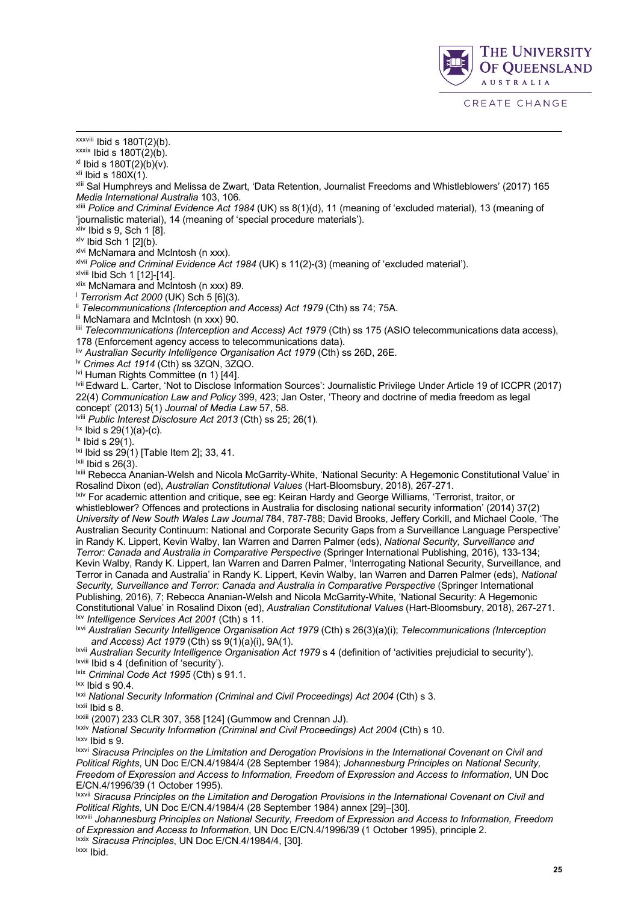$x$ xxviii Ibid s 180T(2)(b).

 $x$ <sup>xxxix</sup> Ibid s 180T(2)(b).

 $x$ l Ibid s 180T(2)(b)(v).

 $x$ li Ibid s 180 $\chi(1)$ .

xlii Sal Humphreys and Melissa de Zwart, 'Data Retention, Journalist Freedoms and Whistleblowers' (2017) 165 *Media International Australia* 103, 106.

xliii *Police and Criminal Evidence Act 1984* (UK) ss 8(1)(d), 11 (meaning of 'excluded material), 13 (meaning of 'journalistic material), 14 (meaning of 'special procedure materials').

 $x$ liv Ibid s 9, Sch 1  $[8]$ .

 $x/v$  Ibid Sch 1 [2](b).

xlvi McNamara and McIntosh (n xxx).

xlvii *Police and Criminal Evidence Act 1984* (UK) s 11(2)-(3) (meaning of 'excluded material').

xlviii Ibid Sch 1 [12]-[14].

xlix McNamara and McIntosh (n xxx) 89.

<sup>l</sup> *Terrorism Act 2000* (UK) Sch 5 [6](3).

li *Telecommunications (Interception and Access) Act 1979* (Cth) ss 74; 75A. lii McNamara and McIntosh (n xxx) 90.

liii *Telecommunications (Interception and Access) Act 1979* (Cth) ss 175 (ASIO telecommunications data access), 178 (Enforcement agency access to telecommunications data).

liv *Australian Security Intelligence Organisation Act 1979* (Cth) ss 26D, 26E.

lv *Crimes Act 1914* (Cth) ss 3ZQN, 3ZQO.

lvi Human Rights Committee (n 1) [44].

lvii Edward L. Carter, 'Not to Disclose Information Sources': Journalistic Privilege Under Article 19 of ICCPR (2017) 22(4) *Communication Law and Policy* 399, 423; Jan Oster, 'Theory and doctrine of media freedom as legal concept' (2013) 5(1) *Journal of Media Law* 57, 58.

lviii *Public Interest Disclosure Act 2013* (Cth) ss 25; 26(1).

 $\frac{$ \}{{}} Ibid s 29(1)(a)-(c).

 $\frac{1}{2}$  Ibid s 29(1).  $\frac{1}{2}$ <br> $\frac{1}{2}$  Ibid ss 29(1) [Table Item 2]; 33, 41.

<sup>Ixii</sup> Ibid s 26(3).<br><sup>Ixii</sup> Rebecca Ananian-Welsh and Nicola McGarrity-White, 'National Security: A Hegemonic Constitutional Value' in Rosalind Dixon (ed), *Australian Constitutional Values* (Hart-Bloomsbury, 2018), 267-271.

lxiv For academic attention and critique, see eg: Keiran Hardy and George Williams, 'Terrorist, traitor, or whistleblower? Offences and protections in Australia for disclosing national security information' (2014) 37(2) *University of New South Wales Law Journal* 784, 787-788; David Brooks, Jeffery Corkill, and Michael Coole, 'The Australian Security Continuum: National and Corporate Security Gaps from a Surveillance Language Perspective' in Randy K. Lippert, Kevin Walby, Ian Warren and Darren Palmer (eds), *National Security, Surveillance and Terror: Canada and Australia in Comparative Perspective* (Springer International Publishing, 2016), 133-134; Kevin Walby, Randy K. Lippert, Ian Warren and Darren Palmer, 'Interrogating National Security, Surveillance, and Terror in Canada and Australia' in Randy K. Lippert, Kevin Walby, Ian Warren and Darren Palmer (eds), *National Security, Surveillance and Terror: Canada and Australia in Comparative Perspective* (Springer International Publishing, 2016), 7; Rebecca Ananian-Welsh and Nicola McGarrity-White, 'National Security: A Hegemonic Constitutional Value' in Rosalind Dixon (ed), *Australian Constitutional Values* (Hart-Bloomsbury, 2018), 267-271. lxv *Intelligence Services Act 2001* (Cth) s 11.

lxvi *Australian Security Intelligence Organisation Act 1979* (Cth) s 26(3)(a)(i); *Telecommunications (Interception and Access) Act 1979* (Cth) ss 9(1)(a)(i), 9A(1).

lxvii *Australian Security Intelligence Organisation Act 1979* s 4 (definition of 'activities prejudicial to security').

lxviii Ibid s 4 (definition of 'security').

<sup>Ixix</sup> Criminal Code Act 1995 (Cth) s 91.1.

 $\frac{1}{x}$  Ibid s 90.4.

lxxi *National Security Information (Criminal and Civil Proceedings) Act 2004* (Cth) s 3.

lxxii Ibid s 8.

lxxiii (2007) 233 CLR 307, 358 [124] (Gummow and Crennan JJ).

lxxiv *National Security Information (Criminal and Civil Proceedings) Act 2004* (Cth) s 10. lxxv Ibid s 9.

lxxvi *Siracusa Principles on the Limitation and Derogation Provisions in the International Covenant on Civil and Political Rights*, UN Doc E/CN.4/1984/4 (28 September 1984); *Johannesburg Principles on National Security, Freedom of Expression and Access to Information, Freedom of Expression and Access to Information*, UN Doc E/CN.4/1996/39 (1 October 1995).

lxxvii *Siracusa Principles on the Limitation and Derogation Provisions in the International Covenant on Civil and Political Rights*, UN Doc E/CN.4/1984/4 (28 September 1984) annex [29]–[30].

lxxviii *Johannesburg Principles on National Security, Freedom of Expression and Access to Information, Freedom of Expression and Access to Information*, UN Doc E/CN.4/1996/39 (1 October 1995), principle 2.

lxxix *Siracusa Principles*, UN Doc E/CN.4/1984/4, [30].

lxxx Ibid.

THE UNIVERSITY **OF OUEENSLAND** 

**AUSTRALIA** 

CREATE CHANGE